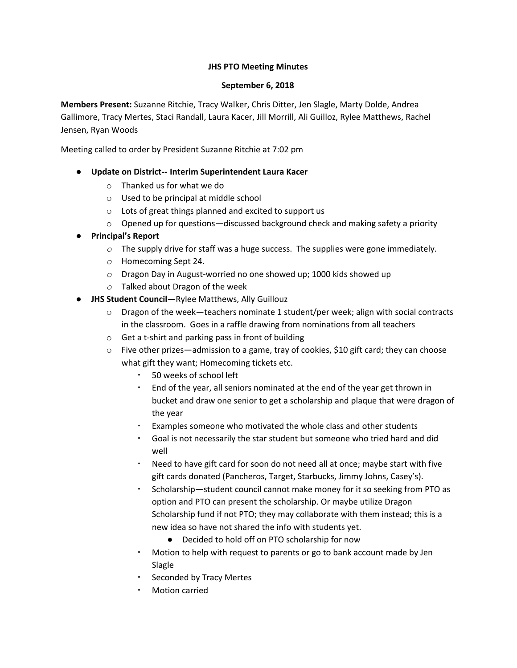# **JHS PTO Meeting Minutes**

### **September 6, 2018**

**Members Present:** Suzanne Ritchie, Tracy Walker, Chris Ditter, Jen Slagle, Marty Dolde, Andrea Gallimore, Tracy Mertes, Staci Randall, Laura Kacer, Jill Morrill, Ali Guilloz, Rylee Matthews, Rachel Jensen, Ryan Woods

Meeting called to order by President Suzanne Ritchie at 7:02 pm

# **● Update on District-- Interim Superintendent Laura Kacer**

- o Thanked us for what we do
- o Used to be principal at middle school
- o Lots of great things planned and excited to support us
- $\circ$  Opened up for questions—discussed background check and making safety a priority
- *●* **Principal's Report**
	- *o* The supply drive for staff was a huge success. The supplies were gone immediately.
	- *o* Homecoming Sept 24.
	- *o* Dragon Day in August-worried no one showed up; 1000 kids showed up
	- *o* Talked about Dragon of the week
- *●* **JHS Student Council—**Rylee Matthews, Ally Guillouz
	- $\circ$  Dragon of the week—teachers nominate 1 student/per week; align with social contracts in the classroom. Goes in a raffle drawing from nominations from all teachers
	- o Get a t-shirt and parking pass in front of building
	- $\circ$  Five other prizes—admission to a game, tray of cookies, \$10 gift card; they can choose what gift they want; Homecoming tickets etc.
		- 50 weeks of school left
		- End of the year, all seniors nominated at the end of the year get thrown in bucket and draw one senior to get a scholarship and plaque that were dragon of the year
		- Examples someone who motivated the whole class and other students
		- Goal is not necessarily the star student but someone who tried hard and did well
		- Need to have gift card for soon do not need all at once; maybe start with five gift cards donated (Pancheros, Target, Starbucks, Jimmy Johns, Casey's).
		- Scholarship—student council cannot make money for it so seeking from PTO as option and PTO can present the scholarship. Or maybe utilize Dragon Scholarship fund if not PTO; they may collaborate with them instead; this is a new idea so have not shared the info with students yet.
			- Decided to hold off on PTO scholarship for now
		- Motion to help with request to parents or go to bank account made by Jen Slagle
		- Seconded by Tracy Mertes
		- **Motion carried**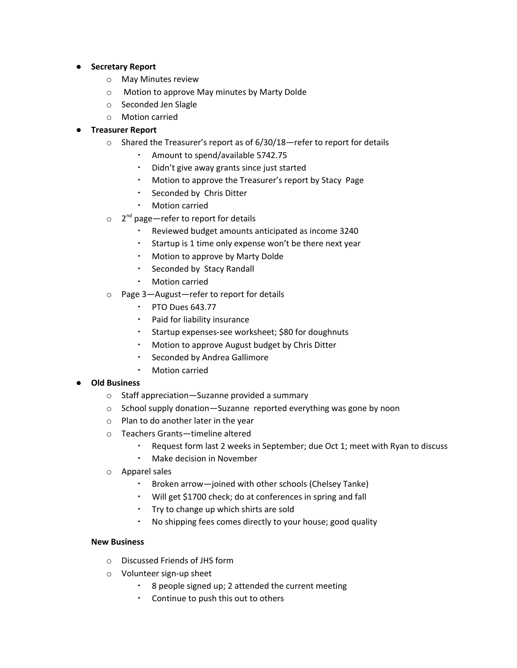- **● Secretary Report**
	- o May Minutes review
	- o Motion to approve May minutes by Marty Dolde
	- o Seconded Jen Slagle
	- o Motion carried

# **● Treasurer Report**

- o Shared the Treasurer's report as of 6/30/18—refer to report for details
	- Amount to spend/available 5742.75
	- Didn't give away grants since just started
	- Motion to approve the Treasurer's report by Stacy Page
	- Seconded by Chris Ditter
	- **Motion carried**
- $\circ$  2<sup>nd</sup> page—refer to report for details
	- Reviewed budget amounts anticipated as income 3240
	- Startup is 1 time only expense won't be there next year
	- Motion to approve by Marty Dolde
	- Seconded by Stacy Randall
	- **Motion carried**
- o Page 3—August—refer to report for details
	- PTO Dues 643.77
	- Paid for liability insurance
	- Startup expenses-see worksheet; \$80 for doughnuts
	- Motion to approve August budget by Chris Ditter
	- Seconded by Andrea Gallimore
	- Motion carried

### **● Old Business**

- o Staff appreciation—Suzanne provided a summary
- o School supply donation—Suzanne reported everything was gone by noon
- o Plan to do another later in the year
- o Teachers Grants—timeline altered
	- Request form last 2 weeks in September; due Oct 1; meet with Ryan to discuss
	- Make decision in November
- o Apparel sales
	- Broken arrow-joined with other schools (Chelsey Tanke)
	- Will get \$1700 check; do at conferences in spring and fall
	- Try to change up which shirts are sold
	- No shipping fees comes directly to your house; good quality

### **New Business**

- o Discussed Friends of JHS form
- o Volunteer sign-up sheet
	- 8 people signed up; 2 attended the current meeting
	- Continue to push this out to others